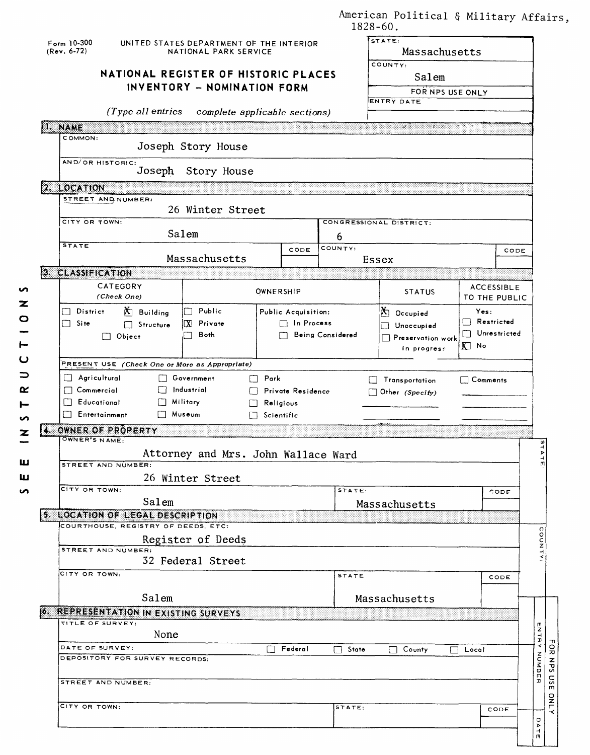| American Political & Military Affairs, |  |  |
|----------------------------------------|--|--|
| $1828 - 60$ .                          |  |  |

| COMMON:<br>Joseph Story House<br>AND/OR HISTORIC:<br>Joseph<br>Story House<br>2. LOCATION<br>STREET AND NUMBER:<br>26 Winter Street<br>CITY OR TOWN:<br>CONGRESSIONAL DISTRICT:<br>Salem<br>6<br><b>STATE</b><br>COUNTY:<br>CODE<br>CODE<br>Massachusetts<br>Essex<br>3. CLASSIFICATION<br>CATEGORY<br><b>ACCESSIBLE</b><br>OWNERSHIP<br><b>STATUS</b><br>(Check One)<br>TO THE PUBLIC<br><b>D</b> Building<br>$\Box$ Public<br>District<br>$\mathbb{X}$ Occupied<br>Yes:<br>Public Acquisition:<br>$\Box$ Restricted<br>X Private<br>$\Box$ In Process<br>П<br>Site<br>$\Box$ Structure<br>Unoccupied<br>II.<br>Unrestricted<br>Both<br>Being Considered<br>$\Box$ Object<br>Preservation work<br>KJ No<br>in progress<br>PRESENT USE (Check One or More as Appropriate)<br>$\Box$ Agricultural<br>$\Box$ Government<br>$\Box$ Park<br>$\Box$ Comments<br>$\Box$ Transportation<br>$\Box$ Industrial<br>$\Box$ Commercial<br>Private Residence<br>Other (Specify)<br>FТ<br>$\Box$ Educational<br>$\Box$ Military<br>Religious<br><b>Entertainment</b><br><b>Nuseum</b><br>$\Box$ Scientific<br>OWNER OF PROPERTY<br>X.<br>OWNER'S NAME:<br>Attorney and Mrs. John Wallace Ward<br>STREET AND NUMBER:<br>26 Winter Street<br>CITY OR TOWN:<br>STATE:<br>CODE<br>Salem<br>Massachusetts<br>5. LOCATION OF LEGAL DESCRIPTION<br>COURTHOUSE, REGISTRY OF DEEDS, ETC:<br>Register of Deeds<br>STREET AND NUMBER:<br>32 Federal Street<br>CITY OR TOWN:<br><b>STATE</b><br>CODE<br>Salem<br>Massachusetts<br>6. REPRESENTATION IN EXISTING SURVEYS<br>TITLE OF SURVEY:<br><b>ENTRY NUMBER</b><br>None<br>DATE OF SURVEY:<br>Federal<br>$\Box$ State<br>County<br>$\Box$ Local<br>$\blacksquare$<br>DEPOSITORY FOR SURVEY RECORDS:<br>STREET AND NUMBER:<br>CITY OR TOWN:<br>STATE:<br>CODE<br>o<br>$\mathbf{r}$ | 18 | $Form 10-300$<br>(Rev. 6-72)<br><b>INAME</b> | UNITED STATES DEPARTMENT OF THE INTERIOR<br>NATIONAL PARK SERVICE<br>NATIONAL REGISTER OF HISTORIC PLACES<br>INVENTORY - NOMINATION FORM<br>(Type all entries complete applicable sections) |  |  | STATE:<br>Massachusetts<br>COUNTY:<br>Salem<br>FOR NPS USE ONLY<br>ENTRY DATE<br>ು |  |               |
|------------------------------------------------------------------------------------------------------------------------------------------------------------------------------------------------------------------------------------------------------------------------------------------------------------------------------------------------------------------------------------------------------------------------------------------------------------------------------------------------------------------------------------------------------------------------------------------------------------------------------------------------------------------------------------------------------------------------------------------------------------------------------------------------------------------------------------------------------------------------------------------------------------------------------------------------------------------------------------------------------------------------------------------------------------------------------------------------------------------------------------------------------------------------------------------------------------------------------------------------------------------------------------------------------------------------------------------------------------------------------------------------------------------------------------------------------------------------------------------------------------------------------------------------------------------------------------------------------------------------------------------------------------------------------------------------------------------------------------------------------------------------------------------------------------|----|----------------------------------------------|---------------------------------------------------------------------------------------------------------------------------------------------------------------------------------------------|--|--|------------------------------------------------------------------------------------|--|---------------|
|                                                                                                                                                                                                                                                                                                                                                                                                                                                                                                                                                                                                                                                                                                                                                                                                                                                                                                                                                                                                                                                                                                                                                                                                                                                                                                                                                                                                                                                                                                                                                                                                                                                                                                                                                                                                            |    |                                              |                                                                                                                                                                                             |  |  |                                                                                    |  |               |
|                                                                                                                                                                                                                                                                                                                                                                                                                                                                                                                                                                                                                                                                                                                                                                                                                                                                                                                                                                                                                                                                                                                                                                                                                                                                                                                                                                                                                                                                                                                                                                                                                                                                                                                                                                                                            |    |                                              |                                                                                                                                                                                             |  |  |                                                                                    |  |               |
|                                                                                                                                                                                                                                                                                                                                                                                                                                                                                                                                                                                                                                                                                                                                                                                                                                                                                                                                                                                                                                                                                                                                                                                                                                                                                                                                                                                                                                                                                                                                                                                                                                                                                                                                                                                                            |    |                                              |                                                                                                                                                                                             |  |  |                                                                                    |  |               |
|                                                                                                                                                                                                                                                                                                                                                                                                                                                                                                                                                                                                                                                                                                                                                                                                                                                                                                                                                                                                                                                                                                                                                                                                                                                                                                                                                                                                                                                                                                                                                                                                                                                                                                                                                                                                            |    |                                              |                                                                                                                                                                                             |  |  |                                                                                    |  |               |
|                                                                                                                                                                                                                                                                                                                                                                                                                                                                                                                                                                                                                                                                                                                                                                                                                                                                                                                                                                                                                                                                                                                                                                                                                                                                                                                                                                                                                                                                                                                                                                                                                                                                                                                                                                                                            |    |                                              |                                                                                                                                                                                             |  |  |                                                                                    |  |               |
|                                                                                                                                                                                                                                                                                                                                                                                                                                                                                                                                                                                                                                                                                                                                                                                                                                                                                                                                                                                                                                                                                                                                                                                                                                                                                                                                                                                                                                                                                                                                                                                                                                                                                                                                                                                                            |    |                                              |                                                                                                                                                                                             |  |  |                                                                                    |  |               |
|                                                                                                                                                                                                                                                                                                                                                                                                                                                                                                                                                                                                                                                                                                                                                                                                                                                                                                                                                                                                                                                                                                                                                                                                                                                                                                                                                                                                                                                                                                                                                                                                                                                                                                                                                                                                            |    |                                              |                                                                                                                                                                                             |  |  |                                                                                    |  |               |
|                                                                                                                                                                                                                                                                                                                                                                                                                                                                                                                                                                                                                                                                                                                                                                                                                                                                                                                                                                                                                                                                                                                                                                                                                                                                                                                                                                                                                                                                                                                                                                                                                                                                                                                                                                                                            |    |                                              |                                                                                                                                                                                             |  |  |                                                                                    |  |               |
|                                                                                                                                                                                                                                                                                                                                                                                                                                                                                                                                                                                                                                                                                                                                                                                                                                                                                                                                                                                                                                                                                                                                                                                                                                                                                                                                                                                                                                                                                                                                                                                                                                                                                                                                                                                                            |    |                                              |                                                                                                                                                                                             |  |  |                                                                                    |  |               |
|                                                                                                                                                                                                                                                                                                                                                                                                                                                                                                                                                                                                                                                                                                                                                                                                                                                                                                                                                                                                                                                                                                                                                                                                                                                                                                                                                                                                                                                                                                                                                                                                                                                                                                                                                                                                            |    |                                              |                                                                                                                                                                                             |  |  |                                                                                    |  |               |
|                                                                                                                                                                                                                                                                                                                                                                                                                                                                                                                                                                                                                                                                                                                                                                                                                                                                                                                                                                                                                                                                                                                                                                                                                                                                                                                                                                                                                                                                                                                                                                                                                                                                                                                                                                                                            |    |                                              |                                                                                                                                                                                             |  |  |                                                                                    |  |               |
|                                                                                                                                                                                                                                                                                                                                                                                                                                                                                                                                                                                                                                                                                                                                                                                                                                                                                                                                                                                                                                                                                                                                                                                                                                                                                                                                                                                                                                                                                                                                                                                                                                                                                                                                                                                                            |    |                                              |                                                                                                                                                                                             |  |  |                                                                                    |  |               |
|                                                                                                                                                                                                                                                                                                                                                                                                                                                                                                                                                                                                                                                                                                                                                                                                                                                                                                                                                                                                                                                                                                                                                                                                                                                                                                                                                                                                                                                                                                                                                                                                                                                                                                                                                                                                            |    |                                              |                                                                                                                                                                                             |  |  |                                                                                    |  |               |
|                                                                                                                                                                                                                                                                                                                                                                                                                                                                                                                                                                                                                                                                                                                                                                                                                                                                                                                                                                                                                                                                                                                                                                                                                                                                                                                                                                                                                                                                                                                                                                                                                                                                                                                                                                                                            |    |                                              |                                                                                                                                                                                             |  |  |                                                                                    |  |               |
|                                                                                                                                                                                                                                                                                                                                                                                                                                                                                                                                                                                                                                                                                                                                                                                                                                                                                                                                                                                                                                                                                                                                                                                                                                                                                                                                                                                                                                                                                                                                                                                                                                                                                                                                                                                                            |    |                                              |                                                                                                                                                                                             |  |  |                                                                                    |  |               |
|                                                                                                                                                                                                                                                                                                                                                                                                                                                                                                                                                                                                                                                                                                                                                                                                                                                                                                                                                                                                                                                                                                                                                                                                                                                                                                                                                                                                                                                                                                                                                                                                                                                                                                                                                                                                            |    |                                              |                                                                                                                                                                                             |  |  |                                                                                    |  |               |
|                                                                                                                                                                                                                                                                                                                                                                                                                                                                                                                                                                                                                                                                                                                                                                                                                                                                                                                                                                                                                                                                                                                                                                                                                                                                                                                                                                                                                                                                                                                                                                                                                                                                                                                                                                                                            |    |                                              |                                                                                                                                                                                             |  |  |                                                                                    |  |               |
|                                                                                                                                                                                                                                                                                                                                                                                                                                                                                                                                                                                                                                                                                                                                                                                                                                                                                                                                                                                                                                                                                                                                                                                                                                                                                                                                                                                                                                                                                                                                                                                                                                                                                                                                                                                                            |    |                                              |                                                                                                                                                                                             |  |  |                                                                                    |  | $\Omega$      |
|                                                                                                                                                                                                                                                                                                                                                                                                                                                                                                                                                                                                                                                                                                                                                                                                                                                                                                                                                                                                                                                                                                                                                                                                                                                                                                                                                                                                                                                                                                                                                                                                                                                                                                                                                                                                            |    |                                              |                                                                                                                                                                                             |  |  |                                                                                    |  | <b>OUNTY:</b> |
|                                                                                                                                                                                                                                                                                                                                                                                                                                                                                                                                                                                                                                                                                                                                                                                                                                                                                                                                                                                                                                                                                                                                                                                                                                                                                                                                                                                                                                                                                                                                                                                                                                                                                                                                                                                                            |    |                                              |                                                                                                                                                                                             |  |  |                                                                                    |  |               |
|                                                                                                                                                                                                                                                                                                                                                                                                                                                                                                                                                                                                                                                                                                                                                                                                                                                                                                                                                                                                                                                                                                                                                                                                                                                                                                                                                                                                                                                                                                                                                                                                                                                                                                                                                                                                            |    |                                              |                                                                                                                                                                                             |  |  |                                                                                    |  |               |
|                                                                                                                                                                                                                                                                                                                                                                                                                                                                                                                                                                                                                                                                                                                                                                                                                                                                                                                                                                                                                                                                                                                                                                                                                                                                                                                                                                                                                                                                                                                                                                                                                                                                                                                                                                                                            |    |                                              |                                                                                                                                                                                             |  |  |                                                                                    |  |               |
|                                                                                                                                                                                                                                                                                                                                                                                                                                                                                                                                                                                                                                                                                                                                                                                                                                                                                                                                                                                                                                                                                                                                                                                                                                                                                                                                                                                                                                                                                                                                                                                                                                                                                                                                                                                                            |    |                                              |                                                                                                                                                                                             |  |  |                                                                                    |  |               |
|                                                                                                                                                                                                                                                                                                                                                                                                                                                                                                                                                                                                                                                                                                                                                                                                                                                                                                                                                                                                                                                                                                                                                                                                                                                                                                                                                                                                                                                                                                                                                                                                                                                                                                                                                                                                            |    |                                              |                                                                                                                                                                                             |  |  |                                                                                    |  |               |
|                                                                                                                                                                                                                                                                                                                                                                                                                                                                                                                                                                                                                                                                                                                                                                                                                                                                                                                                                                                                                                                                                                                                                                                                                                                                                                                                                                                                                                                                                                                                                                                                                                                                                                                                                                                                            |    |                                              |                                                                                                                                                                                             |  |  |                                                                                    |  |               |
|                                                                                                                                                                                                                                                                                                                                                                                                                                                                                                                                                                                                                                                                                                                                                                                                                                                                                                                                                                                                                                                                                                                                                                                                                                                                                                                                                                                                                                                                                                                                                                                                                                                                                                                                                                                                            |    |                                              |                                                                                                                                                                                             |  |  |                                                                                    |  |               |
|                                                                                                                                                                                                                                                                                                                                                                                                                                                                                                                                                                                                                                                                                                                                                                                                                                                                                                                                                                                                                                                                                                                                                                                                                                                                                                                                                                                                                                                                                                                                                                                                                                                                                                                                                                                                            |    |                                              |                                                                                                                                                                                             |  |  |                                                                                    |  |               |
|                                                                                                                                                                                                                                                                                                                                                                                                                                                                                                                                                                                                                                                                                                                                                                                                                                                                                                                                                                                                                                                                                                                                                                                                                                                                                                                                                                                                                                                                                                                                                                                                                                                                                                                                                                                                            |    |                                              |                                                                                                                                                                                             |  |  |                                                                                    |  |               |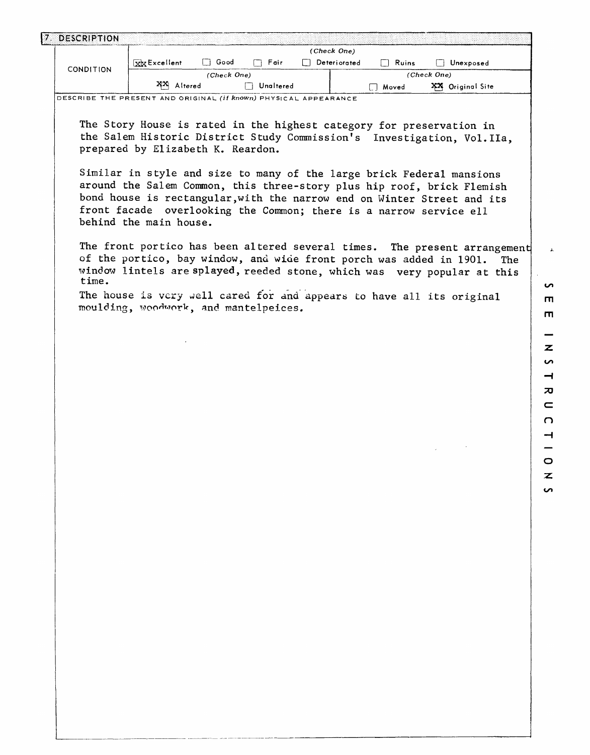| <b>DESCRIPTION</b> |              |             |           |              |       |                     |
|--------------------|--------------|-------------|-----------|--------------|-------|---------------------|
|                    |              |             |           | (Check One)  |       |                     |
|                    | XX Excellent | Good        | Fair      | Deteriorated | Ruins | Unexposed           |
| CONDITION          |              | (Check One) |           |              |       | (Check One)         |
|                    | XX Altered   |             | Unaltered |              | Moved | xх<br>Original Site |

**DESCRIBE THE PRESENT AND ORIGINAL (if known) PHYSICAL APPEARANCE**

The Story House is rated in the highest category for preservation in the Salem Historic District Study Commission's Investigation, Vol.IIa, prepared by Elizabeth K. Reardon.

Similar in style and size to many of the large brick Federal mansions around the Salem Common, this three-story plus hip roof, brick Flemish bond house is rectangular,with the narrow end on Winter Street and its front facade overlooking the Common; there is a narrow service ell behind the main house.

The front portico has been altered several times. The present arrangement of the portico, bay window, and wide front porch was added in 1901. The window lintels are splayed, reeded stone, which was very popular at this time.

The house is very well cared for and appears to have all its original moulding, woodwork, and mantelpeices.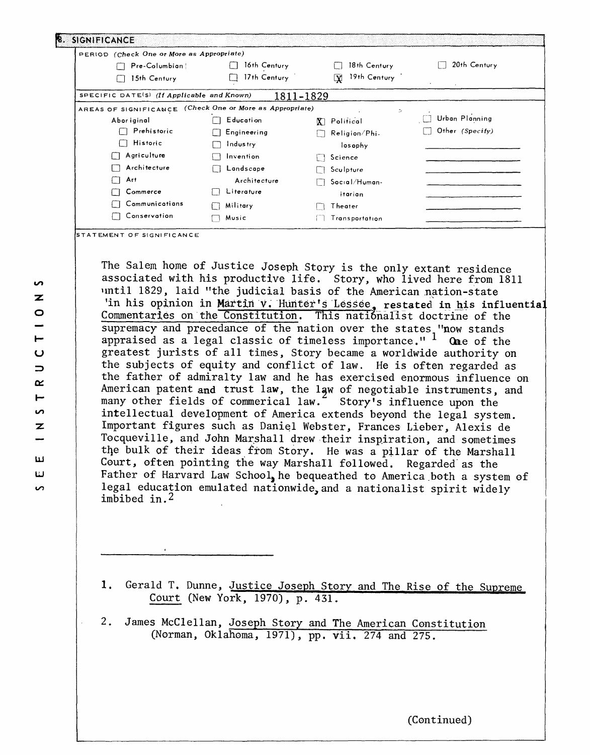| PERIOD (Check One or More as Appropriate)                |                  |                                         |                   |
|----------------------------------------------------------|------------------|-----------------------------------------|-------------------|
| Pre-Columbian                                            | 16th Century     | 18th Century                            | 20th Century      |
| 15th Century                                             | 17th Century     | 19th Century<br>$\overline{\mathbf{x}}$ |                   |
| SPECIFIC DATE(S) (If Applicable and Known)               |                  | 1811-1829                               |                   |
| AREAS OF SIGNIFICANCE (Check One or More as Appropriate) |                  | D.                                      |                   |
| Abor iginal                                              | <b>Education</b> | <b>X</b> ] Political                    | Urban Planning    |
| Prehistoric                                              | Engineering      | Religion/Phi-                           | Other $(Specify)$ |
| <b>Historic</b>                                          | Industry         | losophy                                 |                   |
| Agriculture                                              | Invention        | Science                                 |                   |
| Architecture                                             | Landscape        | Sculpture                               |                   |
| Art                                                      | Architecture     | Social/Human-                           |                   |
| Commerce                                                 | Literature       | itarian                                 |                   |
| Cammunications                                           | Military         | Theater                                 |                   |
| Conservation                                             | Music            | Transportation                          |                   |

The Salem home of Justice Joseph Story is the only extant residence associated with his productive life. Story, who lived here from 1811 until 1829, laid "the judicial basis of the American nation-state 'in his opinion in Martin v. Hunter's Lessee, restated in his influential Commentaries on the Constitution. This nationalist doctrine of the supremacy and precedance of the nation over the states "now stands appraised as a legal classic of timeless importance."  $\frac{1}{2}$  One of the greatest jurists of all times, Story became a worldwide authority on the subjects of equity and conflict of law. He is often regarded as the father of admiralty law and he has exercised enormous influence on American patent and trust law, the law of negotiable instruments, and many other fields of commerical law.<sup>4</sup> Story's influence upon the intellectual development of America extends beyond the legal system. Important figures such as Daniel Webster, Frances Lieber, Alexis de Tocqueville, and John Marshall drew their inspiration, and sometimes the bulk of their ideas from Story. He was a pillar of the Marshall Court, often pointing the way Marshall followed. Regarded as the Father of Harvard Law School, he bequeathed to America both a system of legal education emulated nationwide,and a nationalist spirit widely imbibed in.2

1. Gerald T. Dunne, Justice Joseph Story and The Rise of the Supreme Court (New York, 1970), p. 431.

2. James McClellan, Joseph Story and The American Constitution (Norman, Oklahoma, 1971), pp. vii. 274 and 275.

(Continued)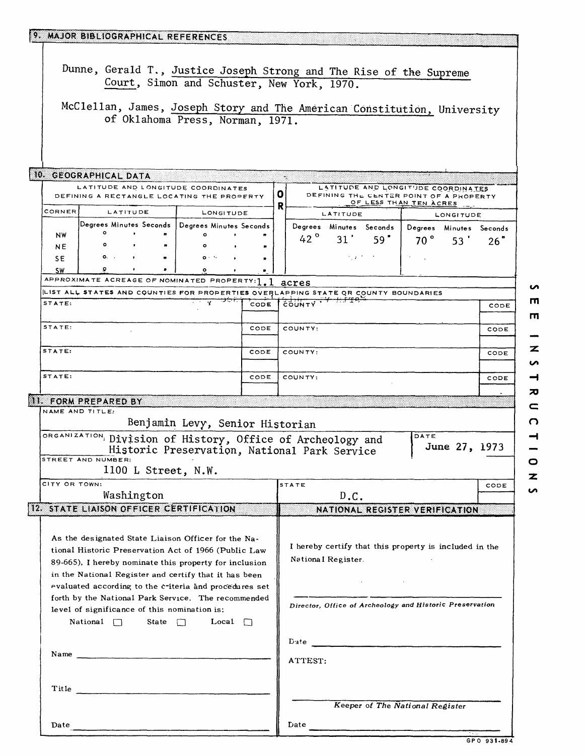|                 | 9. MAJOR BIBLIOGRAPHICAL REFERENCES                                                                                                                                                                                                                                                                                                                                                                                                |                                              |                                 |   |               |                               |                                  |                                                                                                                    |                  |      |
|-----------------|------------------------------------------------------------------------------------------------------------------------------------------------------------------------------------------------------------------------------------------------------------------------------------------------------------------------------------------------------------------------------------------------------------------------------------|----------------------------------------------|---------------------------------|---|---------------|-------------------------------|----------------------------------|--------------------------------------------------------------------------------------------------------------------|------------------|------|
|                 | Dunne, Gerald T., Justice Joseph Strong and The Rise of the Supreme<br>Court, Simon and Schuster, New York, 1970.                                                                                                                                                                                                                                                                                                                  |                                              |                                 |   |               |                               |                                  |                                                                                                                    |                  |      |
|                 | McClellan, James, Joseph Story and The American Constitution, University<br>of Oklahoma Press, Norman, 1971.                                                                                                                                                                                                                                                                                                                       |                                              |                                 |   |               |                               |                                  |                                                                                                                    |                  |      |
|                 | 10. GEOGRAPHICAL DATA                                                                                                                                                                                                                                                                                                                                                                                                              |                                              |                                 |   |               |                               |                                  |                                                                                                                    |                  |      |
|                 | LATITUDE AND LONGITUDE COORDINATES<br>DEFINING A RECTANGLE LOCATING THE PROPERTY                                                                                                                                                                                                                                                                                                                                                   |                                              |                                 | 0 |               |                               |                                  | LATITUDE AND LONGITUDE COORDINATES<br>DEFINING THE CENTER POINT OF A PROPERTY<br>OF LESS THAN TEN ACRES            |                  |      |
| CORNER          | LATITUDE                                                                                                                                                                                                                                                                                                                                                                                                                           | LONGITUDE                                    |                                 | R |               | LATITUDE                      |                                  |                                                                                                                    | <b>LONGITUDE</b> |      |
|                 | Degrees Minutes Seconds   Degrees Minutes Seconds                                                                                                                                                                                                                                                                                                                                                                                  |                                              |                                 |   |               | Degrees Minutes Seconds       |                                  | Degrees Minutes Seconds                                                                                            |                  |      |
| NW              | ۰                                                                                                                                                                                                                                                                                                                                                                                                                                  | $\circ$                                      |                                 |   | 42 $^{\circ}$ | 31'                           | 59"                              | $70^{\circ}$                                                                                                       | 53'              | 26"  |
| NE              | ۰                                                                                                                                                                                                                                                                                                                                                                                                                                  |                                              |                                 |   |               |                               |                                  |                                                                                                                    |                  |      |
| SE.             | $0.$ .<br>$\bullet$                                                                                                                                                                                                                                                                                                                                                                                                                | $0 + 3$                                      |                                 |   |               | かえけいか                         |                                  |                                                                                                                    |                  |      |
| <b>SW</b>       |                                                                                                                                                                                                                                                                                                                                                                                                                                    |                                              |                                 |   |               |                               |                                  |                                                                                                                    |                  |      |
|                 | APPROXIMATE ACREAGE OF NOMINATED PROPERTY: 1                                                                                                                                                                                                                                                                                                                                                                                       |                                              |                                 |   | acres         |                               |                                  |                                                                                                                    |                  |      |
| STATE:          | ILIST ALL STATES AND COUNTIES FOR PROPERTIES OVERLAPPING STATE OR COUNTY BOUNDARIES                                                                                                                                                                                                                                                                                                                                                | $\frac{1}{\sqrt{2}}$ المحمول المحمول المحمول | $\overleftarrow{\texttt{CODE}}$ |   | <b>EQUNTY</b> |                               |                                  |                                                                                                                    |                  |      |
|                 |                                                                                                                                                                                                                                                                                                                                                                                                                                    |                                              |                                 |   |               |                               |                                  |                                                                                                                    |                  | CODE |
| STATE:          |                                                                                                                                                                                                                                                                                                                                                                                                                                    |                                              | CODE                            |   | COUNTY:       |                               |                                  |                                                                                                                    |                  | CODE |
| STATE:          |                                                                                                                                                                                                                                                                                                                                                                                                                                    |                                              | CODE                            |   | COUNTY:       |                               |                                  |                                                                                                                    |                  | CODE |
| STATE:          |                                                                                                                                                                                                                                                                                                                                                                                                                                    |                                              | CODE                            |   | COUNTY:       |                               |                                  |                                                                                                                    |                  | CODE |
|                 |                                                                                                                                                                                                                                                                                                                                                                                                                                    |                                              |                                 |   |               |                               |                                  |                                                                                                                    |                  |      |
|                 | II. FORM PREPARED BY                                                                                                                                                                                                                                                                                                                                                                                                               |                                              |                                 |   |               |                               |                                  |                                                                                                                    |                  |      |
| NAME AND TITLE: |                                                                                                                                                                                                                                                                                                                                                                                                                                    |                                              |                                 |   |               |                               |                                  |                                                                                                                    |                  |      |
|                 |                                                                                                                                                                                                                                                                                                                                                                                                                                    | Benjamin Levy, Senior Historian              |                                 |   |               |                               |                                  |                                                                                                                    |                  |      |
|                 | ORGANIZATION, Division of History, Office of Archeology and                                                                                                                                                                                                                                                                                                                                                                        |                                              |                                 |   |               |                               |                                  | DATE                                                                                                               |                  |      |
|                 | STREET AND NUMBER:                                                                                                                                                                                                                                                                                                                                                                                                                 | Historic Preservation, National Park Service |                                 |   |               |                               |                                  |                                                                                                                    | June 27, 1973    |      |
|                 | 1100 L Street, N.W.                                                                                                                                                                                                                                                                                                                                                                                                                |                                              |                                 |   |               |                               |                                  |                                                                                                                    |                  |      |
|                 |                                                                                                                                                                                                                                                                                                                                                                                                                                    |                                              |                                 |   |               |                               |                                  |                                                                                                                    |                  |      |
| CITY OR TOWN:   | Washington                                                                                                                                                                                                                                                                                                                                                                                                                         |                                              |                                 |   | <b>STATE</b>  |                               |                                  |                                                                                                                    |                  | CODE |
|                 | 12. STATE LIAISON OFFICER CERTIFICATION                                                                                                                                                                                                                                                                                                                                                                                            |                                              |                                 |   |               | D.C.                          |                                  |                                                                                                                    |                  |      |
|                 |                                                                                                                                                                                                                                                                                                                                                                                                                                    |                                              |                                 |   |               |                               |                                  | NATIONAL REGISTER VERIFICATION                                                                                     |                  |      |
|                 | As the designated State Liaison Officer for the Na-<br>tional Historic Preservation Act of 1966 (Public Law<br>89-665), I hereby nominate this property for inclusion<br>in the National Register and certify that it has been<br>evaluated according to the criteria and procedures set<br>forth by the National Park Service. The recommended<br>level of significance of this nomination is:<br>$National \Box$<br>State $\Box$ | Local $\Box$                                 |                                 |   |               | National Register.            | <b>All Controller Controller</b> | I hereby certify that this property is included in the<br>Director, Office of Archeology and Historic Preservation |                  |      |
|                 |                                                                                                                                                                                                                                                                                                                                                                                                                                    |                                              |                                 |   |               |                               |                                  |                                                                                                                    |                  |      |
|                 | Name                                                                                                                                                                                                                                                                                                                                                                                                                               |                                              |                                 |   | ATTEST:       |                               |                                  |                                                                                                                    |                  |      |
|                 |                                                                                                                                                                                                                                                                                                                                                                                                                                    |                                              |                                 |   |               |                               |                                  | Keeper of The National Register                                                                                    |                  |      |
|                 |                                                                                                                                                                                                                                                                                                                                                                                                                                    |                                              |                                 |   |               |                               |                                  |                                                                                                                    |                  |      |
|                 | Date                                                                                                                                                                                                                                                                                                                                                                                                                               |                                              |                                 |   |               | Date $\overline{\phantom{a}}$ |                                  |                                                                                                                    |                  |      |

- $\overline{\mathbf{z}}$  $\overline{v}$  $\overline{\phantom{a}}$  $\overline{\mathbf{z}}$  $\mathbf{C}$  $\Omega$  $\rightarrow$  $\overline{\phantom{0}}$  $\overline{\mathbf{z}}$  $\overline{a}$ 

 $\bullet$  $\blacksquare$  $\blacksquare$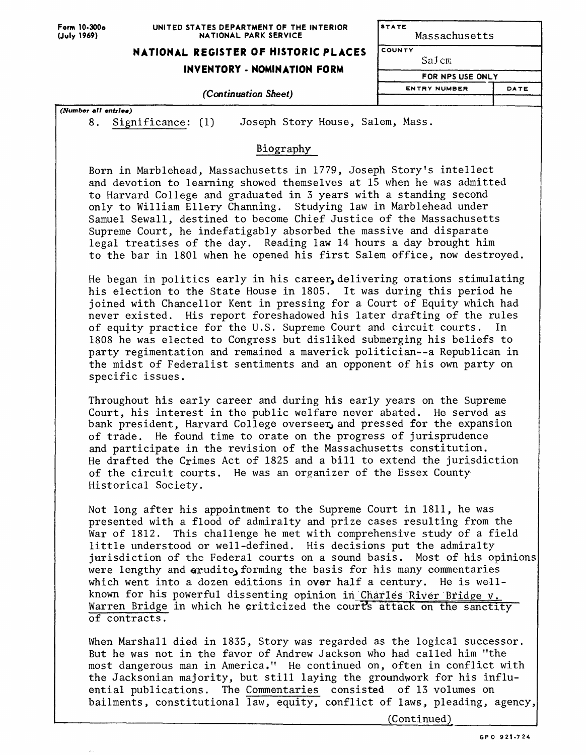**Form 10-300o (July 1969)**

#### **UNITED STATES DEPARTMENT OF THE INTERIOR NATIONAL PARK SERVICE**

# **NATIONAL REGISTER OF HISTORIC PLACES**

## **INVENTORY - NOMINATION FORM**

### *(Continuation Sheet)*

*(Number all entries)*

8. Significance: (1) Joseph Story House, Salem, Mass.

# Biography

Born in Marblehead, Massachusetts in 1779, Joseph Story's intellect and devotion to learning showed themselves at 15 when he was admitted to Harvard College and graduated in 3 years with a standing second only to William Ellery Channing. Studying law in Marblehead under Samuel Sewall, destined to become Chief Justice of the Massachusetts Supreme Court, he indefatigably absorbed the massive and disparate legal treatises of the day. Reading law 14 hours a day brought him to the bar in 1801 when he opened his first Salem office, now destroyed.

He began in politics early in his career, delivering orations stimulating his election to the State House in 1805. It was during this period he joined with Chancellor Kent in pressing for a Court of Equity which had never existed. His report foreshadowed his later drafting of the rules of equity practice for the U.S. Supreme Court and circuit courts. In 1808 he was elected to Congress but disliked submerging his beliefs to party regimentation and remained a maverick politician--a Republican in the midst of Federalist sentiments and an opponent of his own party on specific issues.

Throughout his early career and during his early years on the Supreme Court, his interest in the public welfare never abated. He served as bank president, Harvard College overseer, and pressed for the expansion of trade. He found time to orate on the progress of jurisprudence and participate in the revision of the Massachusetts constitution. He drafted the Crimes Act of 1825 and a bill to extend the jurisdiction of the circuit courts. He was an organizer of the Essex County Historical Society.

Not long after his appointment to the Supreme Court in 1811, he was presented with a flood of admiralty and prize cases resulting from the War of 1812. This challenge he met with comprehensive study of a field little understood or well-defined. His decisions put the admiralty jurisdiction of the Federal courts on a sound basis. Most of his opinions were lengthy and erudite, forming the basis for his many commentaries which went into a dozen editions in over half a century. He is wellknown for his powerful dissenting opinion in Charles River Bridge  $\gamma$ . Warren Bridge in which he criticized the courts attack on the sanctity of contracts.

When Marshall died in 1835, Story was regarded as the logical successor. But he was not in the favor of Andrew Jackson who had called him "the most dangerous man in America." He continued on, often in conflict with the Jacksonian majority, but still laying the groundwork for his influential publications. The Commentaries consisted of 13 volumes on bailments, constitutional law, equity, conflict of laws, pleading, agency,

\_\_\_\_\_\_\_\_\_\_\_\_\_\_\_\_\_\_\_\_\_\_\_\_\_\_\_\_ (Continued)

**STATE** Massachusetts

**FOR NPS USE ONLY**

DATE

COUNTY SaJ cm

**ENTRY NUMBER**